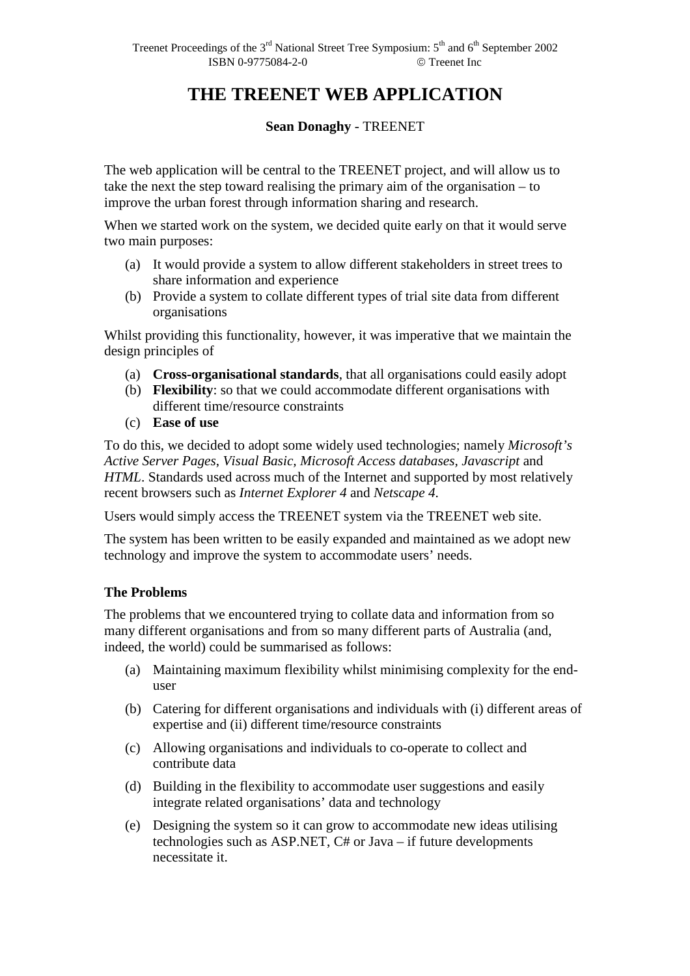# **THE TREENET WEB APPLICATION**

#### **Sean Donaghy** - TREENET

The web application will be central to the TREENET project, and will allow us to take the next the step toward realising the primary aim of the organisation – to improve the urban forest through information sharing and research.

When we started work on the system, we decided quite early on that it would serve two main purposes:

- (a) It would provide a system to allow different stakeholders in street trees to share information and experience
- (b) Provide a system to collate different types of trial site data from different organisations

Whilst providing this functionality, however, it was imperative that we maintain the design principles of

- (a) **Cross-organisational standards**, that all organisations could easily adopt
- (b) **Flexibility**: so that we could accommodate different organisations with different time/resource constraints
- (c) **Ease of use**

To do this, we decided to adopt some widely used technologies; namely *Microsoft's Active Server Pages*, *Visual Basic, Microsoft Access databases, Javascript* and *HTML*. Standards used across much of the Internet and supported by most relatively recent browsers such as *Internet Explorer 4* and *Netscape 4*.

Users would simply access the TREENET system via the TREENET web site.

The system has been written to be easily expanded and maintained as we adopt new technology and improve the system to accommodate users' needs.

## **The Problems**

The problems that we encountered trying to collate data and information from so many different organisations and from so many different parts of Australia (and, indeed, the world) could be summarised as follows:

- (a) Maintaining maximum flexibility whilst minimising complexity for the enduser
- (b) Catering for different organisations and individuals with (i) different areas of expertise and (ii) different time/resource constraints
- (c) Allowing organisations and individuals to co-operate to collect and contribute data
- (d) Building in the flexibility to accommodate user suggestions and easily integrate related organisations' data and technology
- (e) Designing the system so it can grow to accommodate new ideas utilising technologies such as ASP.NET, C# or Java – if future developments necessitate it.